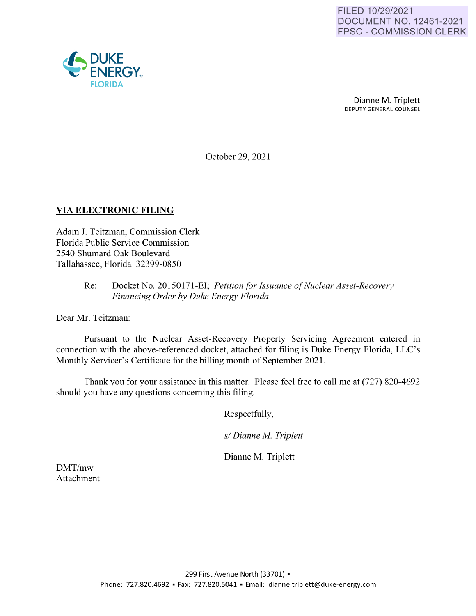

Dianne M. Triplett DEPUTY GENERAL COUNSEL

October 29, 2021

# **VIA ELECTRONIC FILING**

Adam J. Teitzman, Commission Clerk Florida Public Service Commission 2540 Shumard Oak Boulevard Tallahassee, Florida 32399-0850

## Re: Docket No. 20150171-EI; *Petition for Issuance of Nuclear Asset-Recovery Financing Order by Duke Energy Florida*

Dear Mr. Teitzman:

Pursuant to the Nuclear Asset-Recovery Property Servicing Agreement entered in connection with the above-referenced docket, attached for filing is Duke Energy Florida, LLC's Monthly Servicer's Certificate for the billing month of September 2021.

Thank you for your assistance in this matter. Please feel free to call me at (727) 820-4692 should you have any questions concerning this filing.

Respectfully,

*s/ Dianne M. Triplett* 

Dianne M. Triplett

DMT/mw Attachment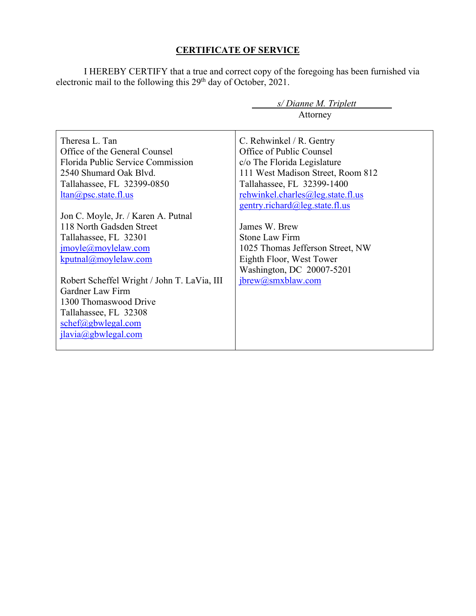# **CERTIFICATE OF SERVICE**

I HEREBY CERTIFY that a true and correct copy of the foregoing has been furnished via electronic mail to the following this 29<sup>th</sup> day of October, 2021.

|                                             | s/Dianne M. Triplett              |
|---------------------------------------------|-----------------------------------|
|                                             | Attorney                          |
|                                             |                                   |
| Theresa L. Tan                              | C. Rehwinkel / R. Gentry          |
| Office of the General Counsel               | Office of Public Counsel          |
| Florida Public Service Commission           | c/o The Florida Legislature       |
| 2540 Shumard Oak Blvd.                      | 111 West Madison Street, Room 812 |
| Tallahassee, FL 32399-0850                  | Tallahassee, FL 32399-1400        |
| $ltan(a)$ psc.state.fl.us                   | rehwinkel.charles@leg.state.fl.us |
|                                             | gentry.richard@leg.state.fl.us    |
| Jon C. Moyle, Jr. / Karen A. Putnal         |                                   |
| 118 North Gadsden Street                    | James W. Brew                     |
| Tallahassee, FL 32301                       | <b>Stone Law Firm</b>             |
| jmoyle@moylelaw.com                         | 1025 Thomas Jefferson Street, NW  |
| kputnal@moylelaw.com                        | Eighth Floor, West Tower          |
|                                             | Washington, DC 20007-5201         |
| Robert Scheffel Wright / John T. LaVia, III | jbrew@smxblaw.com                 |
| Gardner Law Firm                            |                                   |
| 1300 Thomaswood Drive                       |                                   |
| Tallahassee, FL 32308                       |                                   |
| schef@gbwlegal.com                          |                                   |
| ilavia@gbwlegal.com                         |                                   |
|                                             |                                   |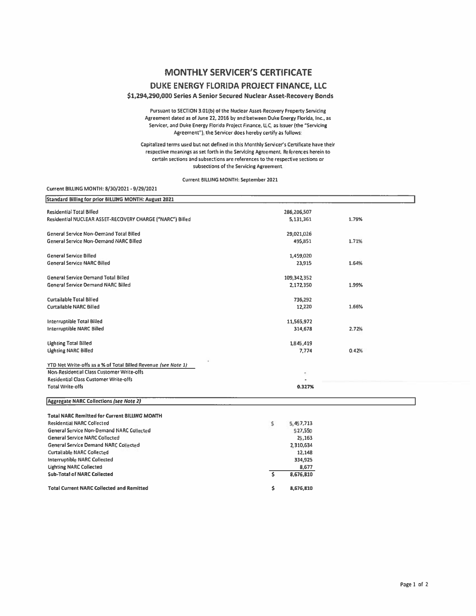## **MONTHLY SERVICER'S CERTIFICATE**

### DUKE ENERGY FLORIDA PROJECT FINANCE, LLC

### \$1,294,290,000 Series A Senior Secured Nuclear Asset-Recovery Bonds

Pursuant to SECTION 3.01(b) of the Nuclear Asset-Recovery Property Servicing Agreement dated as of June 22, 2016 by and between Duke Energy Florida, Inc., as Servicer, and Duke Energy Florida Project Finance, LLC, as Issuer (the "Servicing Agreement"), the Servicer does hereby certify as follows:

Capitalized terms used but not defined in this Monthly Servicer's Certificate have their respective meanings as set forth in the Servicing Agreement. References herein to certain sections and subsections are references to the respective sections or subsections of the Servicing Agreement.

#### Current BILLING MONTH: September 2021

#### Current BILLING MONTH: 8/30/2021 - 9/29/2021

| Standard Billing for prior BILLING MONTH: August 2021                                 |                    |       |
|---------------------------------------------------------------------------------------|--------------------|-------|
| <b>Residential Total Billed</b>                                                       | 286,206,507        |       |
| Residential NUCLEAR ASSET-RECOVERY CHARGE ("NARC") Billed                             | 5,131,361          | 1.79% |
| <b>General Service Non-Demand Total Billed</b>                                        | 29,021,026         |       |
| <b>General Service Non-Demand NARC Billed</b>                                         | 495,851            | 1.71% |
|                                                                                       |                    |       |
| <b>General Service Billed</b>                                                         | 1,459,020          |       |
| <b>General Service NARC Billed</b>                                                    | 23,915             | 1.64% |
| <b>General Service Demand Total Billed</b>                                            | 109,342,352        |       |
| <b>General Service Demand NARC Billed</b>                                             | 2,172,350          | 1.99% |
| <b>Curtailable Total Billed</b>                                                       |                    |       |
| <b>Curtailable NARC Billed</b>                                                        | 736,292<br>12,220  | 1.66% |
|                                                                                       |                    |       |
| <b>Interruptible Total Billed</b>                                                     | 11,565,972         |       |
| <b>Interruptible NARC Billed</b>                                                      | 314,678            | 2.72% |
|                                                                                       |                    |       |
| <b>Lighting Total Billed</b><br><b>Lighting NARC Billed</b>                           | 1,845,419<br>7,774 | 0.42% |
|                                                                                       |                    |       |
| YTD Net Write-offs as a % of Total Billed Revenue (see Note 1)                        |                    |       |
| Non-Residential Class Customer Write-offs                                             |                    |       |
| Residential Class Customer Write-offs                                                 |                    |       |
| <b>Total Write-offs</b>                                                               | 0.327%             |       |
| Aggregate NARC Collections (see Note 2)                                               |                    |       |
|                                                                                       |                    |       |
| <b>Total NARC Remitted for Current BILLING MONTH</b>                                  |                    |       |
| <b>Residential NARC Collected</b><br><b>General Service Non-Demand NARC Collected</b> | \$<br>5,457,713    |       |
| <b>General Service NARC Collected</b>                                                 | 527,550<br>25,163  |       |
| <b>General Service Demand NARC Collected</b>                                          | 2,310,634          |       |
| <b>Curtailable NARC Collected</b>                                                     | 12,148             |       |
| <b>Interruptible NARC Collected</b>                                                   | 334,925            |       |
| <b>Lighting NARC Collected</b>                                                        | 8.677              |       |
| <b>Sub-Total of NARC Collected</b>                                                    | Š.<br>8,676,810    |       |

8,676,810

Ŝ

**Total Current NARC Collected and Remitted**